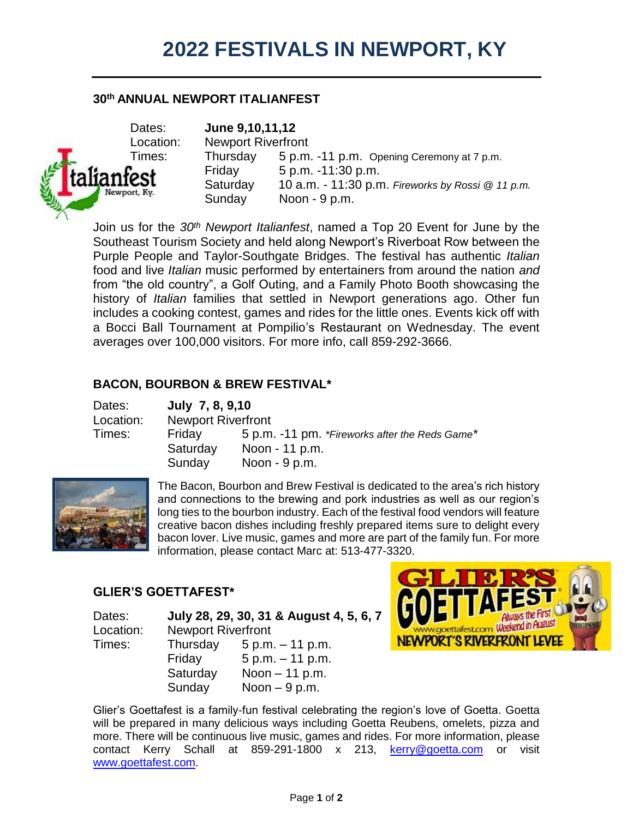## **30th ANNUAL NEWPORT ITALIANFEST**



Dates: **June 9,10,11,12** Location: Newport Riverfront Times: Thursday 5 p.m. -11 p.m. Opening Ceremony at 7 p.m. Friday 5 p.m. -11:30 p.m. Saturday 10 a.m. - 11:30 p.m. *Fireworks by Rossi @ 11 p.m.* Newport,  $K_{Y}$ .<br>Sunday  $N$ oon - 9 p.m.

Join us for the *30th Newport Italianfest*, named a Top 20 Event for June by the Southeast Tourism Society and held along Newport's Riverboat Row between the Purple People and Taylor-Southgate Bridges. The festival has authentic *Italian* food and live *Italian* music performed by entertainers from around the nation *and* from "the old country", a Golf Outing, and a Family Photo Booth showcasing the history of *Italian* families that settled in Newport generations ago. Other fun includes a cooking contest, games and rides for the little ones. Events kick off with a Bocci Ball Tournament at Pompilio's Restaurant on Wednesday. The event averages over 100,000 visitors. For more info, call 859-292-3666.

## **BACON, BOURBON & BREW FESTIVAL\***

| Dates:    | July 7, 8, 9,10           |                                                |  |
|-----------|---------------------------|------------------------------------------------|--|
| Location: | <b>Newport Riverfront</b> |                                                |  |
| Times:    | Friday                    | 5 p.m. -11 pm. *Fireworks after the Reds Game* |  |
|           | Saturday                  | Noon - 11 p.m.                                 |  |
|           | Sunday                    | Noon $-9$ p.m.                                 |  |



The Bacon, Bourbon and Brew Festival is dedicated to the area's rich history and connections to the brewing and pork industries as well as our region's long ties to the bourbon industry. Each of the festival food vendors will feature creative bacon dishes including freshly prepared items sure to delight every bacon lover. Live music, games and more are part of the family fun. For more information, please contact Marc at: 513-477-3320.

# **GLIER'S GOETTAFEST\***

Dates: **July 28, 29, 30, 31 & August 4, 5, 6, 7** Location: Newport Riverfront Times: Thursday 5 p.m. – 11 p.m. Friday 5 p.m. – 11 p.m. Saturday Noon – 11 p.m. Sunday Noon – 9 p.m.



Glier's Goettafest is a family-fun festival celebrating the region's love of Goetta. Goetta will be prepared in many delicious ways including Goetta Reubens, omelets, pizza and more. There will be continuous live music, games and rides. For more information, please contact Kerry Schall at 859-291-1800 x 213, [kerry@goetta.com](mailto:kerry@goetta.com) or visit [www.goettafest.com.](http://www.goettafest.com/)